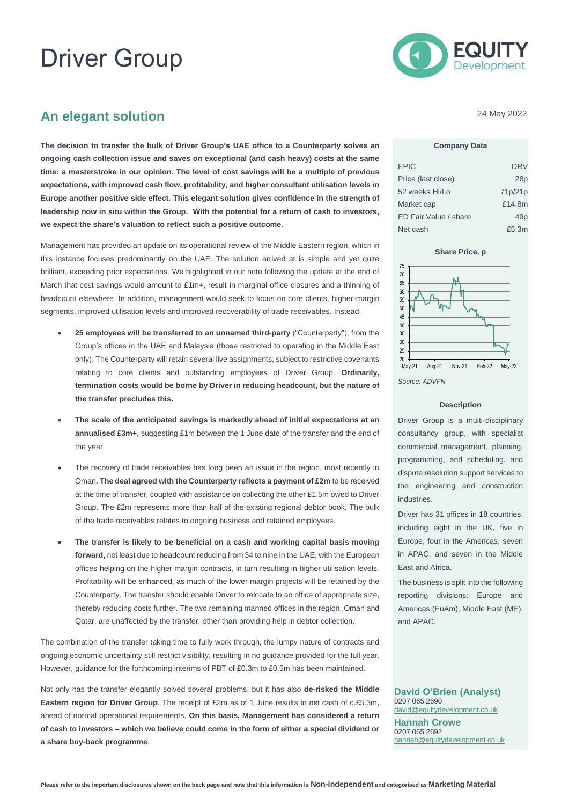# Driver Group



## **An elegant solution**

**The decision to transfer the bulk of Driver Group's UAE office to a Counterparty solves an ongoing cash collection issue and saves on exceptional (and cash heavy) costs at the same time: a masterstroke in our opinion. The level of cost savings will be a multiple of previous expectations, with improved cash flow, profitability, and higher consultant utilisation levels in Europe another positive side effect. This elegant solution gives confidence in the strength of leadership now in situ within the Group. With the potential for a return of cash to investors, we expect the share's valuation to reflect such a positive outcome.** 

Management has provided an update on its operational review of the Middle Eastern region, which in this instance focuses predominantly on the UAE. The solution arrived at is simple and yet quite brilliant, exceeding prior expectations. We highlighted in our note following the update at the end of March that cost savings would amount to £1m+, result in marginal office closures and a thinning of headcount elsewhere. In addition, management would seek to focus on core clients, higher-margin segments, improved utilisation levels and improved recoverability of trade receivables. Instead:

- **25 employees will be transferred to an unnamed third-party** ("Counterparty"), from the Group's offices in the UAE and Malaysia (those restricted to operating in the Middle East only). The Counterparty will retain several live assignments, subject to restrictive covenants relating to core clients and outstanding employees of Driver Group. **Ordinarily, termination costs would be borne by Driver in reducing headcount, but the nature of the transfer precludes this.**
- **The scale of the anticipated savings is markedly ahead of initial expectations at an annualised £3m+,** suggesting £1m between the 1 June date of the transfer and the end of the year.
- The recovery of trade receivables has long been an issue in the region, most recently in Oman**. The deal agreed with the Counterparty reflects a payment of £2m** to be received at the time of transfer, coupled with assistance on collecting the other £1.5m owed to Driver Group. The £2m represents more than half of the existing regional debtor book. The bulk of the trade receivables relates to ongoing business and retained employees.
- **The transfer is likely to be beneficial on a cash and working capital basis moving forward,** not least due to headcount reducing from 34 to nine in the UAE, with the European offices helping on the higher margin contracts, in turn resulting in higher utilisation levels. Profitability will be enhanced, as much of the lower margin projects will be retained by the Counterparty. The transfer should enable Driver to relocate to an office of appropriate size, thereby reducing costs further. The two remaining manned offices in the region, Oman and Qatar, are unaffected by the transfer, other than providing help in debtor collection.

The combination of the transfer taking time to fully work through, the lumpy nature of contracts and ongoing economic uncertainty still restrict visibility, resulting in no guidance provided for the full year. However, guidance for the forthcoming interims of PBT of £0.3m to £0.5m has been maintained.

Not only has the transfer elegantly solved several problems, but it has also **de-risked the Middle Eastern region for Driver Group**. The receipt of £2m as of 1 June results in net cash of c.£5.3m, ahead of normal operational requirements. **On this basis, Management has considered a return of cash to investors – which we believe could come in the form of either a special dividend or a share buy-back programme**.

24 May 2022

#### **Company Data**

| <b>EPIC</b>           | DRV     |
|-----------------------|---------|
| Price (last close)    | 28p     |
| 52 weeks Hi/Lo        | 71p/21p |
| Market cap            | £14.8m  |
| ED Fair Value / share | 49p     |
| Net cash              | £5.3m   |



#### *Source: ADVFN*

#### **Description**

Driver Group is a multi-disciplinary consultancy group, with specialist commercial management, planning, programming, and scheduling, and dispute resolution support services to the engineering and construction industries.

Driver has 31 offices in 18 countries, including eight in the UK, five in Europe, four in the Americas, seven in APAC, and seven in the Middle East and Africa.

The business is split into the following reporting divisions: Europe and Americas (EuAm), Middle East (ME), and APAC.

**David O'Brien (Analyst)** 0207 065 2690 [david@equitydevelopment.co.uk](mailto:david@equitydevelopment.co.uk) **Hannah Crowe** 0207 065 2692 [hannah@equitydevelopment.co.uk](mailto:hannah@equitydevelopment.co.uk)